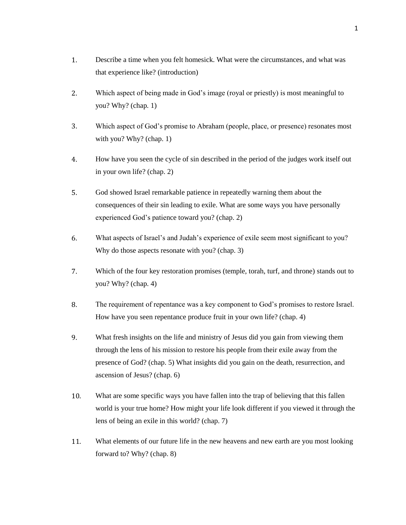- 1. Describe a time when you felt homesick. What were the circumstances, and what was that experience like? (introduction)
- 2. Which aspect of being made in God's image (royal or priestly) is most meaningful to you? Why? (chap. 1)
- 3. Which aspect of God's promise to Abraham (people, place, or presence) resonates most with you? Why? (chap. 1)
- 4. How have you seen the cycle of sin described in the period of the judges work itself out in your own life? (chap. 2)
- 5. God showed Israel remarkable patience in repeatedly warning them about the consequences of their sin leading to exile. What are some ways you have personally experienced God's patience toward you? (chap. 2)
- 6. What aspects of Israel's and Judah's experience of exile seem most significant to you? Why do those aspects resonate with you? (chap. 3)
- 7. Which of the four key restoration promises (temple, torah, turf, and throne) stands out to you? Why? (chap. 4)
- 8. The requirement of repentance was a key component to God's promises to restore Israel. How have you seen repentance produce fruit in your own life? (chap. 4)
- 9. What fresh insights on the life and ministry of Jesus did you gain from viewing them through the lens of his mission to restore his people from their exile away from the presence of God? (chap. 5) What insights did you gain on the death, resurrection, and ascension of Jesus? (chap. 6)
- 10. What are some specific ways you have fallen into the trap of believing that this fallen world is your true home? How might your life look different if you viewed it through the lens of being an exile in this world? (chap. 7)
- 11. What elements of our future life in the new heavens and new earth are you most looking forward to? Why? (chap. 8)